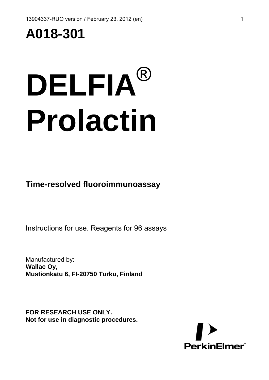## **A018-301**

# **DELFIA**® **Prolactin**

**Time-resolved fluoroimmunoassay** 

Instructions for use. Reagents for 96 assays

Manufactured by: **Wallac Oy, Mustionkatu 6, FI-20750 Turku, Finland**

**FOR RESEARCH USE ONLY. Not for use in diagnostic procedures.** 

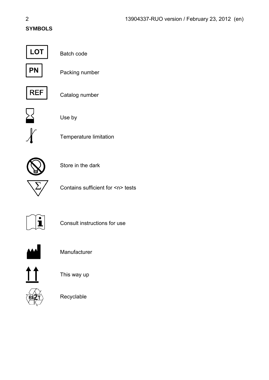#### **SYMBOLS**



Batch code



Packing number



Catalog number



Use by



Temperature limitation



Store in the dark



Contains sufficient for <n> tests



Consult instructions for use



**Manufacturer** 



This way up



Recyclable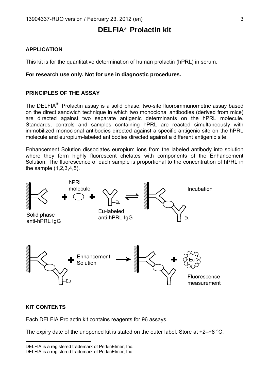#### **DELFIA®**  **Prolactin kit**

#### **APPLICATION**

This kit is for the quantitative determination of human prolactin (hPRL) in serum.

#### **For research use only. Not for use in diagnostic procedures.**

#### **PRINCIPLES OF THE ASSAY**

The DELFIA<sup>®</sup> Prolactin assay is a solid phase, two-site fluoroimmunometric assay based on the direct sandwich technique in which two monoclonal antibodies (derived from mice) are directed against two separate antigenic determinants on the hPRL molecule. Standards, controls and samples containing hPRL are reacted simultaneously with immobilized monoclonal antibodies directed against a specific antigenic site on the hPRL molecule and europium-labeled antibodies directed against a different antigenic site.

Enhancement Solution dissociates europium ions from the labeled antibody into solution where they form highly fluorescent chelates with components of the Enhancement Solution. The fluorescence of each sample is proportional to the concentration of hPRL in the sample (1,2,3,4,5).



#### **KIT CONTENTS**

l

Each DELFIA Prolactin kit contains reagents for 96 assays.

The expiry date of the unopened kit is stated on the outer label. Store at  $+2-+8$  °C.

<span id="page-2-1"></span><span id="page-2-0"></span>DELFIA is a registered trademark of PerkinElmer, Inc. DELFIA is a registered trademark of PerkinElmer, Inc.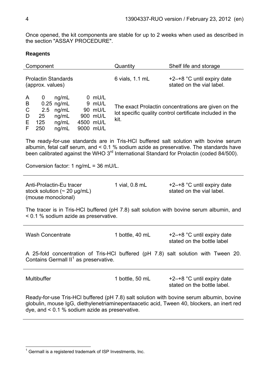Once opened, the kit components are stable for up to 2 weeks when used as described in the section "ASSAY PROCEDURE".

#### **eagents R**

| Component                                                                                                                                                                                                                                                                               | Quantity                                                                                                                | Shelf life and storage                                    |  |  |
|-----------------------------------------------------------------------------------------------------------------------------------------------------------------------------------------------------------------------------------------------------------------------------------------|-------------------------------------------------------------------------------------------------------------------------|-----------------------------------------------------------|--|--|
| <b>Prolactin Standards</b><br>(approx. values)                                                                                                                                                                                                                                          | 6 vials, 1.1 mL                                                                                                         | +2-+8 °C until expiry date<br>stated on the vial label.   |  |  |
| ng/mL<br>0 mU/L<br>$\mathbf 0$<br>A<br>$0.25$ ng/mL<br>9 mU/L<br>B<br>C<br>2.5<br>ng/mL<br>90 mU/L<br>25<br>900 mU/L<br>D<br>ng/mL<br>E<br>125<br>4500 mU/L<br>ng/mL<br>F<br>250<br>ng/mL<br>9000 mU/L                                                                                  | The exact Prolactin concentrations are given on the<br>lot specific quality control certificate included in the<br>kit. |                                                           |  |  |
| The ready-for-use standards are in Tris-HCI buffered salt solution with bovine serum<br>albumin, fetal calf serum, and < 0.1 % sodium azide as preservative. The standards have<br>been calibrated against the WHO 3 <sup>rd</sup> International Standard for Prolactin (coded 84/500). |                                                                                                                         |                                                           |  |  |
| Conversion factor: 1 $nq/mL = 36 \text{ mU/L}$ .                                                                                                                                                                                                                                        |                                                                                                                         |                                                           |  |  |
| Anti-Prolactin-Eu tracer<br>stock solution ( $\sim$ 20 µg/mL)<br>(mouse monoclonal)                                                                                                                                                                                                     | 1 vial, 0.8 mL                                                                                                          | +2-+8 °C until expiry date<br>stated on the vial label.   |  |  |
| The tracer is in Tris-HCI buffered (pH 7.8) salt solution with bovine serum albumin, and<br>< 0.1 % sodium azide as preservative.                                                                                                                                                       |                                                                                                                         |                                                           |  |  |
| <b>Wash Concentrate</b>                                                                                                                                                                                                                                                                 | 1 bottle, 40 mL                                                                                                         | +2-+8 °C until expiry date<br>stated on the bottle label  |  |  |
| A 25-fold concentration of Tris-HCI buffered (pH 7.8) salt solution with Tween 20.<br>Contains Germall II <sup>1</sup> as preservative.                                                                                                                                                 |                                                                                                                         |                                                           |  |  |
| Multibuffer                                                                                                                                                                                                                                                                             | 1 bottle, 50 mL                                                                                                         | +2-+8 °C until expiry date<br>stated on the bottle label. |  |  |

Ready-for-use Tris-HCl buffered (pH 7.8) salt solution with bovine serum albumin, bovine globulin, mouse IgG, diethylenetriaminepentaacetic acid, Tween 40, blockers, an inert red dye, and < 0.1 % sodium azide as preservative.

<span id="page-3-0"></span><sup>&</sup>lt;u>Les and the metal controlled the metal</u><br><sup>1</sup> Germall is a registered trademark of ISP Investments, Inc.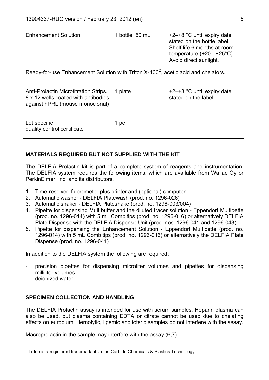| <b>Enhancement Solution</b>                                                                                     | 1 bottle, 50 mL | +2-+8 °C until expiry date<br>stated on the bottle label.<br>Shelf life 6 months at room<br>temperature $(+20 - +25^{\circ}C)$ .<br>Avoid direct sunlight. |  |
|-----------------------------------------------------------------------------------------------------------------|-----------------|------------------------------------------------------------------------------------------------------------------------------------------------------------|--|
| Ready-for-use Enhancement Solution with Triton $X-100^2$ , acetic acid and chelators.                           |                 |                                                                                                                                                            |  |
| Anti-Prolactin Microtitration Strips.<br>8 x 12 wells coated with antibodies<br>against hPRL (mouse monoclonal) | 1 plate         | $+2$ -+8 °C until expiry date<br>stated on the label.                                                                                                      |  |

Lot specific quality control certificate 1 pc

#### **MATERIALS REQUIRED BUT NOT SUPPLIED WITH THE KIT**

The DELFIA Prolactin kit is part of a complete system of reagents and instrumentation. The DELFIA system requires the following items, which are available from Wallac Oy or PerkinElmer, Inc. and its distributors.

- 1. Time-resolved fluorometer plus printer and (optional) computer
- 2. Automatic washer DELFIA Platewash (prod. no. 1296-026)
- 3. Automatic shaker DELFIA Plateshake (prod. no. 1296-003/004)
- 4. Pipette for dispensing Multibuffer and the diluted tracer solution Eppendorf Multipette (prod. no. 1296-014) with 5 mL Combitips (prod. no. 1296-016) or alternatively DELFIA Plate Dispense with the DELFIA Dispense Unit (prod. nos. 1296-041 and 1296-043)
- 5. Pipette for dispensing the Enhancement Solution Eppendorf Multipette (prod. no. 1296-014) with 5 mL Combitips (prod. no. 1296-016) or alternatively the DELFIA Plate Dispense (prod. no. 1296-041)

In addition to the DELFIA system the following are required:

- precision pipettes for dispensing microliter volumes and pipettes for dispensing milliliter volumes
- deionized water

#### **SPECIMEN COLLECTION AND HANDLING**

The DELFIA Prolactin assay is intended for use with serum samples. Heparin plasma can also be used, but plasma containing EDTA or citrate cannot be used due to chelating effects on europium. Hemolytic, lipemic and icteric samples do not interfere with the assay.

Macroprolactin in the sample may interfere with the assay (6,7).

<span id="page-4-0"></span>l  $2$  Triton is a registered trademark of Union Carbide Chemicals & Plastics Technology.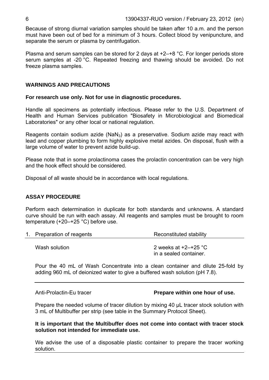Because of strong diurnal variation samples should be taken after 10 a.m. and the person must have been out of bed for a minimum of 3 hours. Collect blood by venipuncture, and separate the serum or plasma by centrifugation.

Plasma and serum samples can be stored for 2 days at +2–+8 °C. For longer periods store serum samples at -20 °C. Repeated freezing and thawing should be avoided. Do not freeze plasma samples.

#### **WARNINGS AND PRECAUTIONS**

#### **For research use only. Not for use in diagnostic procedures.**

Handle all specimens as potentially infectious. Please refer to the U.S. Department of Health and Human Services publication "Biosafety in Microbiological and Biomedical Laboratories" or any other local or national regulation.

Reagents contain sodium azide (NaN<sub>3</sub>) as a preservative. Sodium azide may react with lead and copper plumbing to form highly explosive metal azides. On disposal, flush with a large volume of water to prevent azide build-up.

Please note that in some prolactinoma cases the prolactin concentration can be very high and the hook effect should be considered.

Disposal of all waste should be in accordance with local regulations.

#### **ASSAY PROCEDURE**

Perform each determination in duplicate for both standards and unknowns. A standard curve should be run with each assay. All reagents and samples must be brought to room temperature (+20–+25 °C) before use.

| 1. Preparation of reagents | Reconstituted stability                              |  |  |
|----------------------------|------------------------------------------------------|--|--|
| Wash solution              | 2 weeks at $+2$ – $+25$ °C<br>in a sealed container. |  |  |

Pour the 40 mL of Wash Concentrate into a clean container and dilute 25-fold by adding 960 mL of deionized water to give a buffered wash solution (pH 7.8).

#### Anti-Prolactin-Eu tracer **Prepare within one hour of use.**

Prepare the needed volume of tracer dilution by mixing 40 μL tracer stock solution with 3 mL of Multibuffer per strip (see table in the Summary Protocol Sheet).

**It is important that the Multibuffer does not come into contact with tracer stock solution not intended for immediate use.** 

We advise the use of a disposable plastic container to prepare the tracer working solution.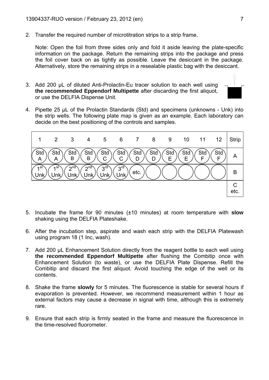2. Transfer the required number of microtitration strips to a strip frame.

Note: Open the foil from three sides only and fold it aside leaving the plate-specific information on the package. Return the remaining strips into the package and press the foil cover back on as tightly as possible. Leave the desiccant in the package. Alternatively, store the remaining strips in a resealable plastic bag with the desiccant.

3. Add 200 μL of diluted Anti-Prolactin-Eu tracer solution to each well using **the recommended Eppendorf Multipette** after discarding the first aliquot, or use the DELFIA Dispense Unit.



4. Pipette 25 μL of the Prolactin Standards (Std) and specimens (unknowns - Unk) into the strip wells. The following plate map is given as an example. Each laboratory can decide on the best positioning of the controls and samples.



- 5. Incubate the frame for 90 minutes (±10 minutes) at room temperature with **slow** shaking using the DELFIA Plateshake.
- 6. After the incubation step, aspirate and wash each strip with the DELFIA Platewash using program 18 (1 Inc, wash).
- contents. Combitip and discard the first aliquot. Avoid touching the edge of the well or its 7. Add 200 μL Enhancement Solution directly from the reagent bottle to each well using **the recommended Eppendorf Multipette** after flushing the Combitip once with Enhancement Solution (to waste), or use the DELFIA Plate Dispense. Refill the
- external factors may cause a decrease in signal with time, although this is extremely rare. 8. Shake the frame **slowly** for 5 minutes. The fluorescence is stable for several hours if evaporation is prevented. However, we recommend measurement within 1 hour as
- 9. Ensure that each strip is firmly seated in the frame and measure the fluorescence in the time-resolved fluorometer.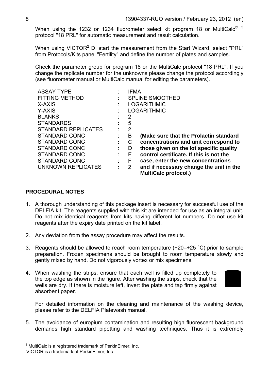When using the 1232 or 1234 fluorometer select kit program 18 or MultiCalc<sup>® 3</sup> protocol "18 PRL" for automatic measurement and result calculation.

When using VICTOR<sup>2</sup> D start the measurement from the Start Wizard, select "PRL" from Protocols/Kits panel "Fertility" and define the number of plates and samples.

Check the parameter group for program 18 or the MultiCalc protocol "18 PRL". If you change the replicate number for the unknowns please change the protocol accordingly (see fluorometer manual or MultiCalc manual for editing the parameters).

| <b>ASSAY TYPE</b>          | IFMA                   |                                         |  |
|----------------------------|------------------------|-----------------------------------------|--|
| <b>FITTING METHOD</b>      | <b>SPLINE SMOOTHED</b> |                                         |  |
| X-AXIS                     | <b>LOGARITHMIC</b>     |                                         |  |
| Y-AXIS                     |                        | <b>LOGARITHMIC</b>                      |  |
| <b>BLANKS</b>              | 2                      |                                         |  |
| <b>STANDARDS</b>           | 5                      |                                         |  |
| <b>STANDARD REPLICATES</b> | 2                      |                                         |  |
| STANDARD CONC              | B                      | (Make sure that the Prolactin standard  |  |
| STANDARD CONC              | С                      | concentrations and unit correspond to   |  |
| STANDARD CONC              | D                      | those given on the lot specific quality |  |
| STANDARD CONC              | Е                      | control certificate. If this is not the |  |
| STANDARD CONC              | F                      | case, enter the new concentrations      |  |
| <b>UNKNOWN REPLICATES</b>  | $\overline{2}$         | and if necessary change the unit in the |  |
|                            |                        | <b>MultiCalc protocol.)</b>             |  |

#### **PROCEDURAL NOTES**

- DELFIA kit. The reagents supplied with this kit are intended for use as an integral unit. Do not mix identical reagents from kits having different lot numbers. Do not use kit 1. A thorough understanding of this package insert is necessary for successful use of the reagents after the expiry date printed on the kit label.
- 2. Any deviation from the assay procedure may affect the results.
- 3. Reagents should be allowed to reach room temperature  $(+20-+25 \degree C)$  prior to sample preparation. Frozen specimens should be brought to room temperature slowly and gently mixed by hand. Do not vigorously vortex or mix specimens.
- the top edge as shown in the figure. After washing the strips, check that the wells are dry. If there is moisture left, invert the plate and tap firmly against 4. When washing the strips, ensure that each well is filled up completely to absorbent paper.



For detailed information on the cleaning and maintenance of the washing device, please refer to the DELFIA Platewash manual.

demands high standard pipetting and washing techniques. Thus it is extremely 5. The avoidance of europium contamination and resulting high fluorescent background

 3 MultiCalc is a registered trademark of PerkinElmer, Inc.

VICTOR is a trademark of PerkinElmer, Inc.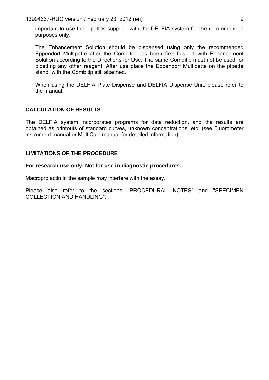13904337-RUO version / February 23, 2012 (en) 9

important to use the pipettes supplied with the DELFIA system for the recommended purposes only.

The Enhancement Solution should be dispensed using only the recommended Eppendorf Multipette after the Combitip has been first flushed with Enhancement Solution according to the Directions for Use. The same Combitip must not be used for stand, with the Combitip still attached. pipetting any other reagent. After use place the Eppendorf Multipette on the pipette

When using the DELFIA Plate Dispense and DELFIA Dispense Unit, please refer to the manual.

#### **CALCULATION OF RESULTS**

The DELFIA system incorporates programs for data reduction, and the results are obtained as printouts of standard curves, unknown concentrations, etc. (see Fluorometer instrument manual or MultiCalc manual for detailed information).

#### LIMITATIONS OF THE PROCEDURE

#### For research use only. Not for use in diagnostic procedures.

Macroprolactin in the sample may interfere with the assay.

Please also refer to the sections "PROCEDURAL NOTES" and "SPECIMEN COLLECTION AND HANDLING".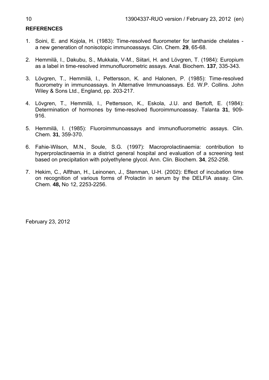#### **REFERENCES**

- 1. Soini, E. and Kojola, H. (1983): Time-resolved fluorometer for lanthanide chelates a new generation of nonisotopic immunoassays. Clin. Chem. **29**, 65-68.
- 2. Hemmilä, I., Dakubu, S., Mukkala, V-M., Siitari, H. and Lövgren, T. (1984): Europium as a label in time-resolved immunofluorometric assays. Anal. Biochem. **137**, 335-343.
- 3. Lövgren, T., Hemmilä, I., Pettersson, K. and Halonen, P. (1985): Time-resolved fluorometry in immunoassays. In Alternative Immunoassays. Ed. W.P. Collins. John Wiley & Sons Ltd., England, pp. 203-217.
- 4. Lövgren, T., Hemmilä, I., Pettersson, K., Eskola, J.U. and Bertoft, E. (1984): Determination of hormones by time-resolved fluoroimmunoassay. Talanta **31**, 909- 916.
- 5. Hemmilä, I. (1985): Fluoroimmunoassays and immunofluorometric assays. Clin. Chem. **31**, 359-370.
- 6. Fahie-Wilson, M.N., Soule, S.G. (1997): Macroprolactinaemia: contribution to hyperprolactinaemia in a district general hospital and evaluation of a screening test based on precipitation with polyethylene glycol. Ann. Clin. Biochem. **34**, 252-258.
- 7. Hekim, C., Alfthan, H., Leinonen, J., Stenman, U-H. (2002): Effect of incubation time on recognition of various forms of Prolactin in serum by the DELFIA assay. Clin. Chem. **48,** No 12, 2253-2256.

February 23, 2012